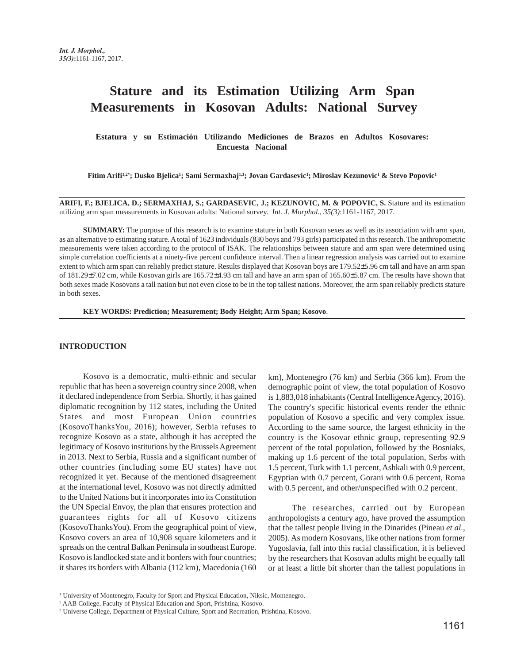# **Stature and its Estimation Utilizing Arm Span Measurements in Kosovan Adults: National Survey**

**Estatura y su Estimación Utilizando Mediciones de Brazos en Adultos Kosovares: Encuesta Nacional** 

**Fitim Arifi1,2\*; Dusko Bjelica1 ; Sami Sermaxhaj1,3; Jovan Gardasevic1 ; Miroslav Kezunovic1 & Stevo Popovic1**

ARIFI, F.; BJELICA, D.; SERMAXHAJ, S.; GARDASEVIC, J.; KEZUNOVIC, M. & POPOVIC, S. Stature and its estimation utilizing arm span measurements in Kosovan adults: National survey. *Int. J. Morphol., 35(3)*:1161-1167, 2017.

**SUMMARY:** The purpose of this research is to examine stature in both Kosovan sexes as well as its association with arm span, as an alternative to estimating stature. A total of 1623 individuals (830 boys and 793 girls) participated in this research. The anthropometric measurements were taken according to the protocol of ISAK. The relationships between stature and arm span were determined using simple correlation coefficients at a ninety-five percent confidence interval. Then a linear regression analysis was carried out to examine extent to which arm span can reliably predict stature. Results displayed that Kosovan boys are 179.52±5.96 cm tall and have an arm span of 181.29±7.02 cm, while Kosovan girls are 165.72±4.93 cm tall and have an arm span of 165.60±5.87 cm. The results have shown that both sexes made Kosovans a tall nation but not even close to be in the top tallest nations. Moreover, the arm span reliably predicts stature in both sexes.

**KEY WORDS: Prediction; Measurement; Body Height; Arm Span; Kosovo**.

## **INTRODUCTION**

Kosovo is a democratic, multi-ethnic and secular republic that has been a sovereign country since 2008, when it declared independence from Serbia. Shortly, it has gained diplomatic recognition by 112 states, including the United States and most European Union countries (KosovoThanksYou, 2016); however, Serbia refuses to recognize Kosovo as a state, although it has accepted the legitimacy of Kosovo institutions by the Brussels Agreement in 2013. Next to Serbia, Russia and a significant number of other countries (including some EU states) have not recognized it yet. Because of the mentioned disagreement at the international level, Kosovo was not directly admitted to the United Nations but it incorporates into its Constitution the UN Special Envoy, the plan that ensures protection and guarantees rights for all of Kosovo citizens (KosovoThanksYou). From the geographical point of view, Kosovo covers an area of 10,908 square kilometers and it spreads on the central Balkan Peninsula in southeast Europe. Kosovo is landlocked state and it borders with four countries; it shares its borders with Albania (112 km), Macedonia (160

km), Montenegro (76 km) and Serbia (366 km). From the demographic point of view, the total population of Kosovo is 1,883,018 inhabitants (Central Intelligence Agency, 2016). The country's specific historical events render the ethnic population of Kosovo a specific and very complex issue. According to the same source, the largest ethnicity in the country is the Kosovar ethnic group, representing 92.9 percent of the total population, followed by the Bosniaks, making up 1.6 percent of the total population, Serbs with 1.5 percent, Turk with 1.1 percent, Ashkali with 0.9 percent, Egyptian with 0.7 percent, Gorani with 0.6 percent, Roma with 0.5 percent, and other/unspecified with 0.2 percent.

The researches, carried out by European anthropologists a century ago, have proved the assumption that the tallest people living in the Dinarides (Pineau *et al*., 2005). As modern Kosovans, like other nations from former Yugoslavia, fall into this racial classification, it is believed by the researchers that Kosovan adults might be equally tall or at least a little bit shorter than the tallest populations in

<sup>&</sup>lt;sup>1</sup> University of Montenegro, Faculty for Sport and Physical Education, Niksic, Montenegro.

<sup>2</sup> AAB College, Faculty of Physical Education and Sport, Prishtina, Kosovo.

<sup>3</sup> Universe College, Department of Physical Culture, Sport and Recreation, Prishtina, Kosovo.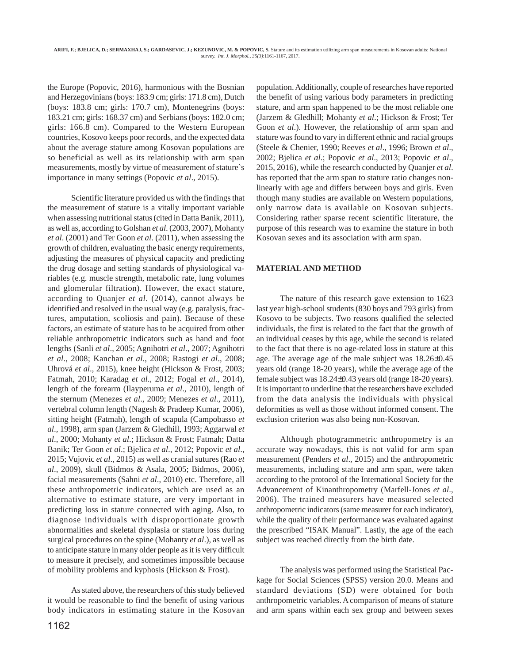the Europe (Popovic, 2016), harmonious with the Bosnian and Herzegovinians (boys: 183.9 cm; girls: 171.8 cm), Dutch (boys: 183.8 cm; girls: 170.7 cm), Montenegrins (boys: 183.21 cm; girls: 168.37 cm) and Serbians (boys: 182.0 cm; girls: 166.8 cm). Compared to the Western European countries, Kosovo keeps poor records, and the expected data about the average stature among Kosovan populations are so beneficial as well as its relationship with arm span measurements, mostly by virtue of measurement of stature`s importance in many settings (Popovic *et al*., 2015).

Scientific literature provided us with the findings that the measurement of stature is a vitally important variable when assessing nutritional status (cited in Datta Banik, 2011), as well as, according to Golshan *et al*. (2003, 2007), Mohanty *et al*. (2001) and Ter Goon *et al*. (2011), when assessing the growth of children, evaluating the basic energy requirements, adjusting the measures of physical capacity and predicting the drug dosage and setting standards of physiological variables (e.g. muscle strength, metabolic rate, lung volumes and glomerular filtration). However, the exact stature, according to Quanjer *et al*. (2014), cannot always be identified and resolved in the usual way (e.g. paralysis, fractures, amputation, scoliosis and pain). Because of these factors, an estimate of stature has to be acquired from other reliable anthropometric indicators such as hand and foot lengths (Sanli *et al*., 2005; Agnihotri *et al*., 2007; Agnihotri *et al*., 2008; Kanchan *et al*., 2008; Rastogi *et al*., 2008; Uhrová *et al*., 2015), knee height (Hickson & Frost, 2003; Fatmah, 2010; Karadag *et al*., 2012; Fogal *et al*., 2014), length of the forearm (Ilayperuma *et al*., 2010), length of the sternum (Menezes *et al*., 2009; Menezes *et al*., 2011), vertebral column length (Nagesh & Pradeep Kumar, 2006), sitting height (Fatmah), length of scapula (Campobasso *et al*., 1998), arm span (Jarzem & Gledhill, 1993; Aggarwal *et al*., 2000; Mohanty *et al*.; Hickson & Frost; Fatmah; Datta Banik; Ter Goon *et al*.; Bjelica *et al*., 2012; Popovic *et al*., 2015; Vujovic *et al*., 2015) as well as cranial sutures (Rao *et al*., 2009), skull (Bidmos & Asala, 2005; Bidmos, 2006), facial measurements (Sahni *et al*., 2010) etc. Therefore, all these anthropometric indicators, which are used as an alternative to estimate stature, are very important in predicting loss in stature connected with aging. Also, to diagnose individuals with disproportionate growth abnormalities and skeletal dysplasia or stature loss during surgical procedures on the spine (Mohanty *et al*.), as well as to anticipate stature in many older people as it is very difficult to measure it precisely, and sometimes impossible because of mobility problems and kyphosis (Hickson & Frost).

As stated above, the researchers of this study believed it would be reasonable to find the benefit of using various body indicators in estimating stature in the Kosovan

population. Additionally, couple of researches have reported the benefit of using various body parameters in predicting stature, and arm span happened to be the most reliable one (Jarzem & Gledhill; Mohanty *et al*.; Hickson & Frost; Ter Goon *et al*.). However, the relationship of arm span and stature was found to vary in different ethnic and racial groups (Steele & Chenier, 1990; Reeves *et al*., 1996; Brown *et al*., 2002; Bjelica *et al*.; Popovic *et al*., 2013; Popovic *et al*., 2015, 2016), while the research conducted by Quanjer *et al*. has reported that the arm span to stature ratio changes nonlinearly with age and differs between boys and girls. Even though many studies are available on Western populations, only narrow data is available on Kosovan subjects. Considering rather sparse recent scientific literature, the purpose of this research was to examine the stature in both Kosovan sexes and its association with arm span.

## **MATERIAL AND METHOD**

The nature of this research gave extension to 1623 last year high-school students (830 boys and 793 girls) from Kosovo to be subjects. Two reasons qualified the selected individuals, the first is related to the fact that the growth of an individual ceases by this age, while the second is related to the fact that there is no age-related loss in stature at this age. The average age of the male subject was 18.26±0.45 years old (range 18-20 years), while the average age of the female subject was 18.24±0.43 years old (range 18-20 years). It is important to underline that the researchers have excluded from the data analysis the individuals with physical deformities as well as those without informed consent. The exclusion criterion was also being non-Kosovan.

Although photogrammetric anthropometry is an accurate way nowadays, this is not valid for arm span measurement (Penders *et al*., 2015) and the anthropometric measurements, including stature and arm span, were taken according to the protocol of the International Society for the Advancement of Kinanthropometry (Marfell-Jones *et al*., 2006). The trained measurers have measured selected anthropometric indicators (same measurer for each indicator), while the quality of their performance was evaluated against the prescribed "ISAK Manual". Lastly, the age of the each subject was reached directly from the birth date.

The analysis was performed using the Statistical Package for Social Sciences (SPSS) version 20.0. Means and standard deviations (SD) were obtained for both anthropometric variables. A comparison of means of stature and arm spans within each sex group and between sexes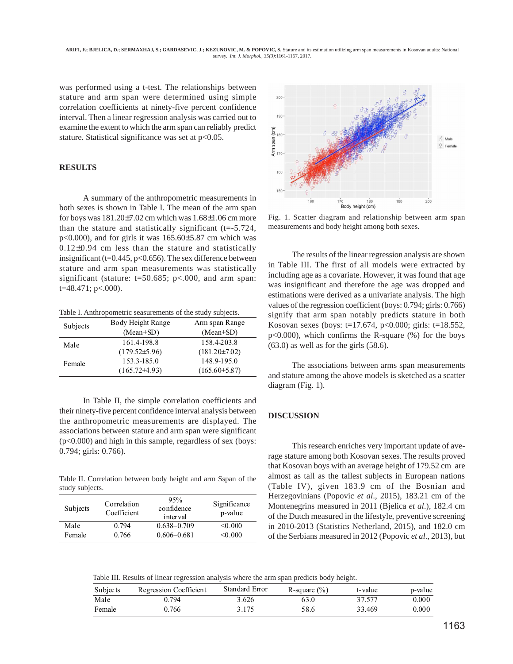**ARIFI, F.; BJELICA, D.; SERMAXHAJ, S.; GARDASEVIC, J.; KEZUNOVIC, M. & POPOVIC, S.** Stature and its estimation utilizing arm span measurements in Kosovan adults: National survey. *Int. J. Morphol., 35(3)*:1161-1167, 2017.

was performed using a t-test. The relationships between stature and arm span were determined using simple correlation coefficients at ninety-five percent confidence interval. Then a linear regression analysis was carried out to examine the extent to which the arm span can reliably predict stature. Statistical significance was set at  $p<0.05$ .

#### **RESULTS**

A summary of the anthropometric measurements in both sexes is shown in Table I. The mean of the arm span for boys was  $181.20\pm7.02$  cm which was  $1.68\pm1.06$  cm more than the stature and statistically significant  $(t=5.724,$ p<0.000), and for girls it was 165.60±5.87 cm which was 0.12±0.94 cm less than the stature and statistically insignificant ( $t=0.445$ ,  $p<0.656$ ). The sex difference between stature and arm span measurements was statistically significant (stature:  $t=50.685$ ;  $p<0.00$ , and arm span: t=48.471; p<.000).

Table I. Anthropometric seasurements of the study subjects.

| Subjects | Body Height Range   | Arm span Range      |  |
|----------|---------------------|---------------------|--|
|          | $(Mean \pm SD)$     | $(Mean \pm SD)$     |  |
| Male     | 161.4-198.8         | 158.4-203.8         |  |
|          | $(179.52 \pm 5.96)$ | $(181.20 \pm 7.02)$ |  |
| Female   | 153.3-185.0         | 148.9-195.0         |  |
|          | $(165.72\pm4.93)$   | $(165.60\pm5.87)$   |  |

In Table II, the simple correlation coefficients and their ninety-five percent confidence interval analysis between the anthropometric measurements are displayed. The associations between stature and arm span were significant (p<0.000) and high in this sample, regardless of sex (boys: 0.794; girls: 0.766).

Table II. Correlation between body height and arm Sspan of the study subjects.

| Subjects | Correlation<br>Coefficient | 95%<br>confidence<br>interval | Significance<br>p-value |
|----------|----------------------------|-------------------------------|-------------------------|
| Male     | 0.794                      | $0.638 - 0.709$               | < 0.000                 |
| Female   | 0.766                      | $0.606 - 0.681$               | < 0.000                 |



Fig. 1. Scatter diagram and relationship between arm span measurements and body height among both sexes.

The results of the linear regression analysis are shown in Table III. The first of all models were extracted by including age as a covariate. However, it was found that age was insignificant and therefore the age was dropped and estimations were derived as a univariate analysis. The high values of the regression coefficient (boys: 0.794; girls: 0.766) signify that arm span notably predicts stature in both Kosovan sexes (boys:  $t=17.674$ ,  $p<0.000$ ; girls:  $t=18.552$ , p<0.000), which confirms the R-square (%) for the boys  $(63.0)$  as well as for the girls  $(58.6)$ .

The associations between arms span measurements and stature among the above models is sketched as a scatter diagram (Fig. 1).

# **DISCUSSION**

This research enriches very important update of average stature among both Kosovan sexes. The results proved that Kosovan boys with an average height of 179.52 cm are almost as tall as the tallest subjects in European nations (Table IV), given 183.9 cm of the Bosnian and Herzegovinians (Popovic *et al*., 2015), 183.21 cm of the Montenegrins measured in 2011 (Bjelica *et al*.), 182.4 cm of the Dutch measured in the lifestyle, preventive screening in 2010-2013 (Statistics Netherland, 2015), and 182.0 cm of the Serbians measured in 2012 (Popovic *et al*., 2013), but

Table III. Results of linear regression analysis where the arm span predicts body height.

| Subjects | Regression Coefficient | Standard Error | R-square $(\% )$ | t-value | p-value |
|----------|------------------------|----------------|------------------|---------|---------|
| Male     | 0.794                  | 3.626          | 63.0             | 37.577  | 0.000   |
| Female   | 0.766                  | 3.175          | 58.6             | 33.469  | 0.000   |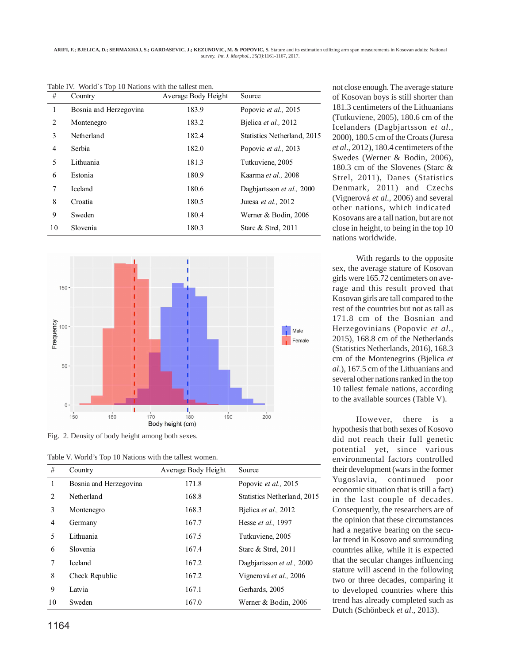**ARIFI, F.; BJELICA, D.; SERMAXHAJ, S.; GARDASEVIC, J.; KEZUNOVIC, M. & POPOVIC, S.** Stature and its estimation utilizing arm span measurements in Kosovan adults: National survey. *Int. J. Morphol., 35(3)*:1161-1167, 2017.

| #  | Country                | Average Body Height | Source                      |
|----|------------------------|---------------------|-----------------------------|
| 1  | Bosnia and Herzegovina | 183.9               | Popovic et al., 2015        |
| 2  | Montenegro             | 183.2               | Bjelica et al., 2012        |
| 3  | Netherland             | 182.4               | Statistics Netherland, 2015 |
| 4  | Serbia                 | 182.0               | Popovic et al., 2013        |
| 5  | Lithuania              | 181.3               | Tutkuviene, 2005            |
| 6  | Estonia                | 180.9               | Kaarma et al., 2008         |
| 7  | <b>Iceland</b>         | 180.6               | Dagbiartsson et al., 2000   |
| 8  | Croatia                | 180.5               | Juresa et al., 2012         |
| 9  | Sweden                 | 180.4               | Werner & Bodin, 2006        |
| 10 | Slovenia               | 180.3               | Starc & Strel, 2011         |

Table IV. World`s Top 10 Nations with the tallest men.



Fig. 2. Density of body height among both sexes.

| Table V. World's Top 10 Nations with the tallest women. |  |  |
|---------------------------------------------------------|--|--|
|---------------------------------------------------------|--|--|

| #              | Country                | Average Body Height | Source                      |
|----------------|------------------------|---------------------|-----------------------------|
| 1              | Bosnia and Herzegovina | 171.8               | Popovic et al., 2015        |
| $\overline{c}$ | Netherland             | 168.8               | Statistics Netherland, 2015 |
| 3              | Montenegro             | 168.3               | Bielica et al., 2012        |
| 4              | Germany                | 167.7               | Hesse et al., 1997          |
| 5              | Lithuania              | 167.5               | Tutkuviene, 2005            |
| 6              | Slovenia               | 167.4               | Starc & Strel, 2011         |
| 7              | <b>Iceland</b>         | 167.2               | Dagbjartsson et al., 2000   |
| 8              | Check Republic         | 167.2               | Vignerová et al., 2006      |
| 9              | Latvia                 | 167.1               | Gerhards, 2005              |
| 10             | Sweden                 | 167.0               | Werner & Bodin, 2006        |

not close enough. The average stature of Kosovan boys is still shorter than 181.3 centimeters of the Lithuanians (Tutkuviene, 2005), 180.6 cm of the Icelanders (Dagbjartsson *et al*., 2000), 180.5 cm of the Croats (Juresa *et al*., 2012), 180.4 centimeters of the Swedes (Werner & Bodin, 2006), 180.3 cm of the Slovenes (Starc & Strel, 2011), Danes (Statistics Denmark, 2011) and Czechs (Vignerová *et al*., 2006) and several other nations, which indicated Kosovans are a tall nation, but are not close in height, to being in the top 10 nations worldwide.

With regards to the opposite sex, the average stature of Kosovan girls were 165.72 centimeters on average and this result proved that Kosovan girls are tall compared to the rest of the countries but not as tall as 171.8 cm of the Bosnian and Herzegovinians (Popovic *et al*., 2015), 168.8 cm of the Netherlands (Statistics Netherlands, 2016), 168.3 cm of the Montenegrins (Bjelica *et al*.), 167.5 cm of the Lithuanians and several other nations ranked in the top 10 tallest female nations, according to the available sources (Table V).

However, there is a hypothesis that both sexes of Kosovo did not reach their full genetic potential yet, since various environmental factors controlled their development (wars in the former Yugoslavia, continued poor economic situation that is still a fact) in the last couple of decades. Consequently, the researchers are of the opinion that these circumstances had a negative bearing on the secular trend in Kosovo and surrounding countries alike, while it is expected that the secular changes influencing stature will ascend in the following two or three decades, comparing it to developed countries where this trend has already completed such as Dutch (Schönbeck *et al*., 2013).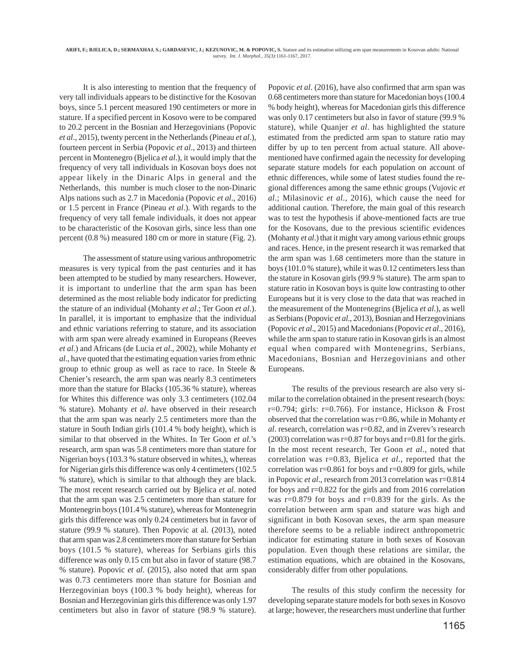It is also interesting to mention that the frequency of very tall individuals appears to be distinctive for the Kosovan boys, since 5.1 percent measured 190 centimeters or more in stature. If a specified percent in Kosovo were to be compared to 20.2 percent in the Bosnian and Herzegovinians (Popovic *et al*., 2015), twenty percent in the Netherlands (Pineau *et al*.), fourteen percent in Serbia (Popovic *et al*., 2013) and thirteen percent in Montenegro (Bjelica *et al*.), it would imply that the frequency of very tall individuals in Kosovan boys does not appear likely in the Dinaric Alps in general and the Netherlands, this number is much closer to the non-Dinaric Alps nations such as 2.7 in Macedonia (Popovic *et al*., 2016) or 1.5 percent in France (Pineau *et al*.). With regards to the frequency of very tall female individuals, it does not appear to be characteristic of the Kosovan girls, since less than one percent (0.8 %) measured 180 cm or more in stature (Fig. 2).

The assessment of stature using various anthropometric measures is very typical from the past centuries and it has been attempted to be studied by many researchers. However, it is important to underline that the arm span has been determined as the most reliable body indicator for predicting the stature of an individual (Mohanty *et al*.; Ter Goon *et al*.). In parallel, it is important to emphasize that the individual and ethnic variations referring to stature, and its association with arm span were already examined in Europeans (Reeves *et al*.) and Africans (de Lucia *et al*., 2002), while Mohanty *et al*., have quoted that the estimating equation varies from ethnic group to ethnic group as well as race to race. In Steele & Chenier's research, the arm span was nearly 8.3 centimeters more than the stature for Blacks (105.36 % stature), whereas for Whites this difference was only 3.3 centimeters (102.04 % stature). Mohanty *et al*. have observed in their research that the arm span was nearly 2.5 centimeters more than the stature in South Indian girls (101.4 % body height), which is similar to that observed in the Whites. In Ter Goon *et al*.'s research, arm span was 5.8 centimeters more than stature for Nigerian boys (103.3 % stature observed in whites,), whereas for Nigerian girls this difference was only 4 centimeters (102.5 % stature), which is similar to that although they are black. The most recent research carried out by Bjelica *et al*. noted that the arm span was 2.5 centimeters more than stature for Montenegrin boys (101.4 % stature), whereas for Montenegrin girls this difference was only 0.24 centimeters but in favor of stature (99.9 % stature). Then Popovic at al. (2013), noted that arm span was 2.8 centimeters more than stature for Serbian boys (101.5 % stature), whereas for Serbians girls this difference was only 0.15 cm but also in favor of stature (98.7 % stature). Popovic *et al*. (2015), also noted that arm span was 0.73 centimeters more than stature for Bosnian and Herzegovinian boys (100.3 % body height), whereas for Bosnian and Herzegovinian girls this difference was only 1.97 centimeters but also in favor of stature (98.9 % stature).

Popovic *et al*. (2016), have also confirmed that arm span was 0.68 centimeters more than stature for Macedonian boys (100.4 % body height), whereas for Macedonian girls this difference was only 0.17 centimeters but also in favor of stature (99.9 % stature), while Quanjer *et al*. has highlighted the stature estimated from the predicted arm span to stature ratio may differ by up to ten percent from actual stature. All abovementioned have confirmed again the necessity for developing separate stature models for each population on account of ethnic differences, while some of latest studies found the regional differences among the same ethnic groups (Vujovic *et al*.; Milasinovic *et al*., 2016), which cause the need for additional caution. Therefore, the main goal of this research was to test the hypothesis if above-mentioned facts are true for the Kosovans, due to the previous scientific evidences (Mohanty *et al*.) that it might vary among various ethnic groups and races. Hence, in the present research it was remarked that the arm span was 1.68 centimeters more than the stature in boys (101.0 % stature), while it was 0.12 centimeters less than the stature in Kosovan girls (99.9 % stature). The arm span to stature ratio in Kosovan boys is quite low contrasting to other Europeans but it is very close to the data that was reached in the measurement of the Montenegrins (Bjelica *et al*.), as well as Serbians (Popovic *et al*., 2013), Bosnian and Herzegovinians (Popovic *et al*., 2015) and Macedonians (Popovic *et al*., 2016), while the arm span to stature ratio in Kosovan girls is an almost equal when compared with Montenegrins, Serbians, Macedonians, Bosnian and Herzegovinians and other Europeans.

The results of the previous research are also very similar to the correlation obtained in the present research (boys: r=0.794; girls: r=0.766). For instance, Hickson & Frost observed that the correlation was r=0.86, while in Mohanty *et al*. research, correlation was r=0.82, and in Zverev's research  $(2003)$  correlation was r=0.87 for boys and r=0.81 for the girls. In the most recent research, Ter Goon *et al*., noted that correlation was r=0.83, Bjelica *et al*., reported that the correlation was  $r=0.861$  for boys and  $r=0.809$  for girls, while in Popovic *et al*., research from 2013 correlation was r=0.814 for boys and r=0.822 for the girls and from 2016 correlation was  $r=0.879$  for boys and  $r=0.839$  for the girls. As the correlation between arm span and stature was high and significant in both Kosovan sexes, the arm span measure therefore seems to be a reliable indirect anthropometric indicator for estimating stature in both sexes of Kosovan population. Even though these relations are similar, the estimation equations, which are obtained in the Kosovans, considerably differ from other populations.

The results of this study confirm the necessity for developing separate stature models for both sexes in Kosovo at large; however, the researchers must underline that further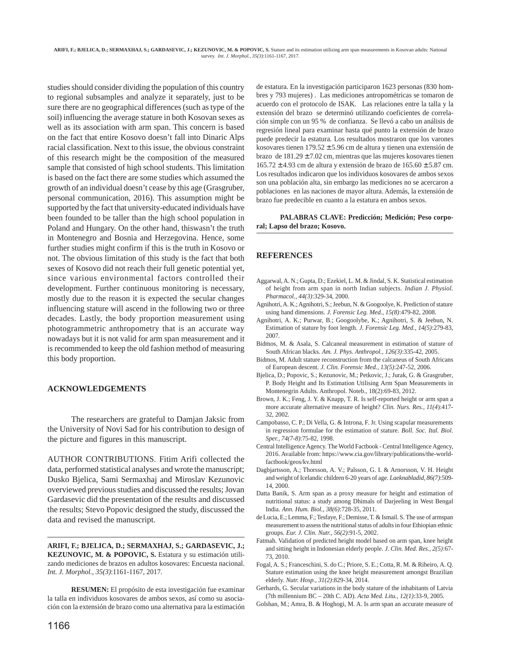studies should consider dividing the population of this country to regional subsamples and analyze it separately, just to be sure there are no geographical differences (such as type of the soil) influencing the average stature in both Kosovan sexes as well as its association with arm span. This concern is based on the fact that entire Kosovo doesn't fall into Dinaric Alps racial classification. Next to this issue, the obvious constraint of this research might be the composition of the measured sample that consisted of high school students. This limitation is based on the fact there are some studies which assumed the growth of an individual doesn't cease by this age (Grasgruber, personal communication, 2016). This assumption might be supported by the fact that university-educated individuals have been founded to be taller than the high school population in Poland and Hungary. On the other hand, thiswasn't the truth in Montenegro and Bosnia and Herzegovina. Hence, some further studies might confirm if this is the truth in Kosovo or not. The obvious limitation of this study is the fact that both sexes of Kosovo did not reach their full genetic potential yet, since various environmental factors controlled their development. Further continuous monitoring is necessary, mostly due to the reason it is expected the secular changes influencing stature will ascend in the following two or three decades. Lastly, the body proportion measurement using photogrammetric anthropometry that is an accurate way nowadays but it is not valid for arm span measurement and it is recommended to keep the old fashion method of measuring this body proportion.

# **ACKNOWLEDGEMENTS**

The researchers are grateful to Damjan Jaksic from the University of Novi Sad for his contribution to design of the picture and figures in this manuscript.

AUTHOR CONTRIBUTIONS. Fitim Arifi collected the data, performed statistical analyses and wrote the manuscript; Dusko Bjelica, Sami Sermaxhaj and Miroslav Kezunovic overviewed previous studies and discussed the results; Jovan Gardasevic did the presentation of the results and discussed the results; Stevo Popovic designed the study, discussed the data and revised the manuscript.

**ARIFI, F.; BJELICA, D.; SERMAXHAJ, S.; GARDASEVIC, J.; KEZUNOVIC, M. & POPOVIC, S.** Estatura y su estimación utilizando mediciones de brazos en adultos kosovares: Encuesta nacional. *Int. J. Morphol., 35(3)*:1161-1167, 2017.

**RESUMEN:** El propósito de esta investigación fue examinar la talla en individuos kosovares de ambos sexos, así como su asociación con la extensión de brazo como una alternativa para la estimación de estatura. En la investigación participaron 1623 personas (830 hombres y 793 mujeres) . Las mediciones antropométricas se tomaron de acuerdo con el protocolo de ISAK. Las relaciones entre la talla y la extensión del brazo se determinó utilizando coeficientes de correlación simple con un 95 % de confianza. Se llevó a cabo un análisis de regresión lineal para examinar hasta qué punto la extensión de brazo puede predecir la estatura. Los resultados mostraron que los varones kosovares tienen 179.52 ± 5.96 cm de altura y tienen una extensión de brazo de  $181.29 \pm 7.02$  cm, mientras que las mujeres kosovares tienen  $165.72 \pm 4.93$  cm de altura y extensión de brazo de  $165.60 \pm 5.87$  cm. Los resultados indicaron que los individuos kosovares de ambos sexos son una población alta, sin embargo las mediciones no se acercaron a poblaciones en las naciones de mayor altura. Además, la extensión de brazo fue predecible en cuanto a la estatura en ambos sexos.

**PALABRAS CLAVE: Predicción; Medición; Peso corporal; Lapso del brazo; Kosovo.**

## **REFERENCES**

- Aggarwal, A. N.; Gupta, D.; Ezekiel, L. M. & Jindal, S. K. Statistical estimation of height from arm span in north Indian subjects. *Indian J. Physiol. Pharmacol., 44(3)*:329-34, 2000.
- Agnihotri, A. K.; Agnihotri, S.; Jeebun, N. & Googoolye, K. Prediction of stature using hand dimensions. *J. Forensic Leg. Med., 15(8)*:479-82, 2008.
- Agnihotri, A. K.; Purwar, B.; Googoolybe, K.; Agnihotri, S. & Jeebun, N. Estimation of stature by foot length. *J. Forensic Leg. Med., 14(5)*:279-83, 2007.
- Bidmos, M. & Asala, S. Calcaneal measurement in estimation of stature of South African blacks. *Am. J. Phys. Anthropol., 126(3)*:335-42, 2005.
- Bidmos, M. Adult stature reconstruction from the calcaneus of South Africans of European descent. *J. Clin. Forensic Med., 13(5)*:247-52, 2006.
- Bjelica, D.; Popovic, S.; Kezunovic, M.; Petkovic, J.; Jurak, G. & Grasgruber, P. Body Height and Its Estimation Utilising Arm Span Measurements in Montenegrin Adults. Anthropol. Noteb., 18(2):69-83, 2012.
- Brown, J. K.; Feng, J. Y. & Knapp, T. R. Is self-reported height or arm span a more accurate alternative measure of height? *Clin. Nurs. Res., 11(4*):417- 32, 2002.
- Campobasso, C. P.; Di Vella, G. & Introna, F. Jr. Using scapular measurements in regression formulae for the estimation of stature. *Boll. Soc. Ital. Biol. Sper., 74(7-8)*:75-82, 1998.
- Central Intelligence Agency. The World Factbook Central Intelligence Agency, 2016. Available from: https://www.cia.gov/library/publications/the-worldfactbook/geos/kv.html
- Dagbjartsson, A.; Thorsson, A. V.; Palsson, G. I. & Arnorsson, V. H. Height and weight of Icelandic children 6-20 years of age. *Laeknabladid, 86(7)*:509- 14, 2000.
- Datta Banik, S. Arm span as a proxy measure for height and estimation of nutritional status: a study among Dhimals of Darjeeling in West Bengal India. *Ann. Hum. Biol., 38(6)*:728-35, 2011.
- de Lucia, E.; Lemma, F.; Tesfaye, F.; Demisse, T. & Ismail. S. The use of armspan measurement to assess the nutritional status of adults in four Ethiopian ethnic groups. *Eur. J. Clin. Nutr., 56(2)*:91-5, 2002.
- Fatmah. Validation of predicted height model based on arm span, knee height and sitting height in Indonesian elderly people. *J. Clin. Med. Res., 2(5)*:67- 73, 2010.
- Fogal, A. S.; Franceschini, S. do C.; Priore, S. E.; Cotta, R. M. & Ribeiro, A. Q. Stature estimation using the knee height measurement amongst Brazilian elderly. *Nutr. Hosp., 31(2)*:829-34, 2014.
- Gerhards, G. Secular variations in the body stature of the inhabitants of Latvia (7th millennium BC – 20th C. AD). *Acta Med. Litu., 12(1)*:33-9, 2005.
- Golshan, M.; Amra, B. & Hoghogi, M. A. Is arm span an accurate measure of